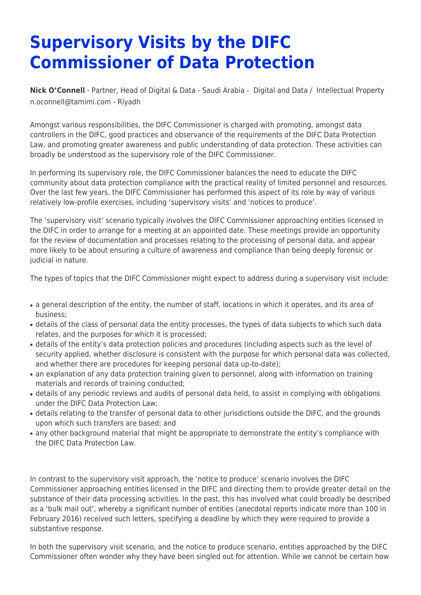## **Supervisory Visits by the DIFC Commissioner of Data Protection**

**[Nick O'Connell](https://www.tamimi.com/find-a-lawyer/nick-oconnell/)** - Partner, Head of Digital & Data - Saudi Arabia - [Digital and Data](https://www.tamimi.com/client-services/practices/digital-data/) / [Intellectual Property](https://www.tamimi.com/client-services/practices/intellectual-property/) [n.oconnell@tamimi.com](mailto:n.oconnell@tamimi.com) - [Riyadh](https://www.tamimi.com/locations/saudi-arabia/)

Amongst various responsibilities, the DIFC Commissioner is charged with promoting, amongst data controllers in the DIFC, good practices and observance of the requirements of the DIFC Data Protection Law, and promoting greater awareness and public understanding of data protection. These activities can broadly be understood as the supervisory role of the DIFC Commissioner.

In performing its supervisory role, the DIFC Commissioner balances the need to educate the DIFC community about data protection compliance with the practical reality of limited personnel and resources. Over the last few years, the DIFC Commissioner has performed this aspect of its role by way of various relatively low-profile exercises, including 'supervisory visits' and 'notices to produce'.

The 'supervisory visit' scenario typically involves the DIFC Commissioner approaching entities licensed in the DIFC in order to arrange for a meeting at an appointed date. These meetings provide an opportunity for the review of documentation and processes relating to the processing of personal data, and appear more likely to be about ensuring a culture of awareness and compliance than being deeply forensic or judicial in nature.

The types of topics that the DIFC Commissioner might expect to address during a supervisory visit include:

- a general description of the entity, the number of staff, locations in which it operates, and its area of business;
- details of the class of personal data the entity processes, the types of data subjects to which such data relates, and the purposes for which it is processed;
- details of the entity's data protection policies and procedures (including aspects such as the level of security applied, whether disclosure is consistent with the purpose for which personal data was collected, and whether there are procedures for keeping personal data up-to-date);
- an explanation of any data protection training given to personnel, along with information on training materials and records of training conducted;
- details of any periodic reviews and audits of personal data held, to assist in complying with obligations under the DIFC Data Protection Law;
- details relating to the transfer of personal data to other jurisdictions outside the DIFC, and the grounds upon which such transfers are based; and
- any other background material that might be appropriate to demonstrate the entity's compliance with the DIFC Data Protection Law.

In contrast to the supervisory visit approach, the 'notice to produce' scenario involves the DIFC Commissioner approaching entities licensed in the DIFC and directing them to provide greater detail on the substance of their data processing activities. In the past, this has involved what could broadly be described as a 'bulk mail out', whereby a significant number of entities (anecdotal reports indicate more than 100 in February 2016) received such letters, specifying a deadline by which they were required to provide a substantive response.

In both the supervisory visit scenario, and the notice to produce scenario, entities approached by the DIFC Commissioner often wonder why they have been singled out for attention. While we cannot be certain how